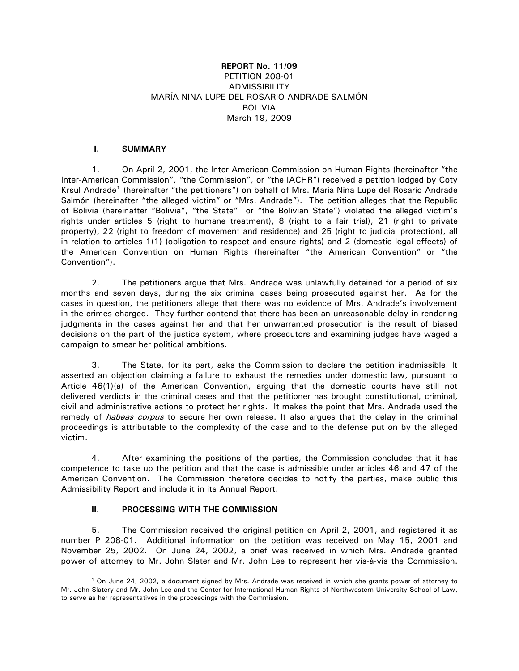## **REPORT No. 11/09** PETITION 208-01 **ADMISSIBILITY** MARÍA NINA LUPE DEL ROSARIO ANDRADE SALMÓN BOLIVIA March 19, 2009

## **I. SUMMARY**

1. On April 2, 2001, the Inter-American Commission on Human Rights (hereinafter "the Inter-American Commission", "the Commission", or "the IACHR") received a petition lodged by Coty Krsul Andrade<sup>[1](#page-0-0)</sup> (hereinafter "the petitioners") on behalf of Mrs. Maria Nina Lupe del Rosario Andrade Salmón (hereinafter "the alleged victim" or "Mrs. Andrade"). The petition alleges that the Republic of Bolivia (hereinafter "Bolivia", "the State" or "the Bolivian State") violated the alleged victim's rights under articles 5 (right to humane treatment), 8 (right to a fair trial), 21 (right to private property), 22 (right to freedom of movement and residence) and 25 (right to judicial protection), all in relation to articles 1(1) (obligation to respect and ensure rights) and 2 (domestic legal effects) of the American Convention on Human Rights (hereinafter "the American Convention" or "the Convention").

2. The petitioners argue that Mrs. Andrade was unlawfully detained for a period of six months and seven days, during the six criminal cases being prosecuted against her. As for the cases in question, the petitioners allege that there was no evidence of Mrs. Andrade's involvement in the crimes charged. They further contend that there has been an unreasonable delay in rendering judgments in the cases against her and that her unwarranted prosecution is the result of biased decisions on the part of the justice system, where prosecutors and examining judges have waged a campaign to smear her political ambitions.

3. The State, for its part, asks the Commission to declare the petition inadmissible. It asserted an objection claiming a failure to exhaust the remedies under domestic law, pursuant to Article 46(1)(a) of the American Convention, arguing that the domestic courts have still not delivered verdicts in the criminal cases and that the petitioner has brought constitutional, criminal, civil and administrative actions to protect her rights. It makes the point that Mrs. Andrade used the remedy of *habeas corpus* to secure her own release. It also argues that the delay in the criminal proceedings is attributable to the complexity of the case and to the defense put on by the alleged victim.

4. After examining the positions of the parties, the Commission concludes that it has competence to take up the petition and that the case is admissible under articles 46 and 47 of the American Convention. The Commission therefore decides to notify the parties, make public this Admissibility Report and include it in its Annual Report.

# **II. PROCESSING WITH THE COMMISSION**

 $\overline{a}$ 

5. The Commission received the original petition on April 2, 2001, and registered it as number P 208-01. Additional information on the petition was received on May 15, 2001 and November 25, 2002. On June 24, 2002, a brief was received in which Mrs. Andrade granted power of attorney to Mr. John Slater and Mr. John Lee to represent her vis-à-vis the Commission.

<span id="page-0-0"></span><sup>1</sup> On June 24, 2002, a document signed by Mrs. Andrade was received in which she grants power of attorney to Mr. John Slatery and Mr. John Lee and the Center for International Human Rights of Northwestern University School of Law, to serve as her representatives in the proceedings with the Commission.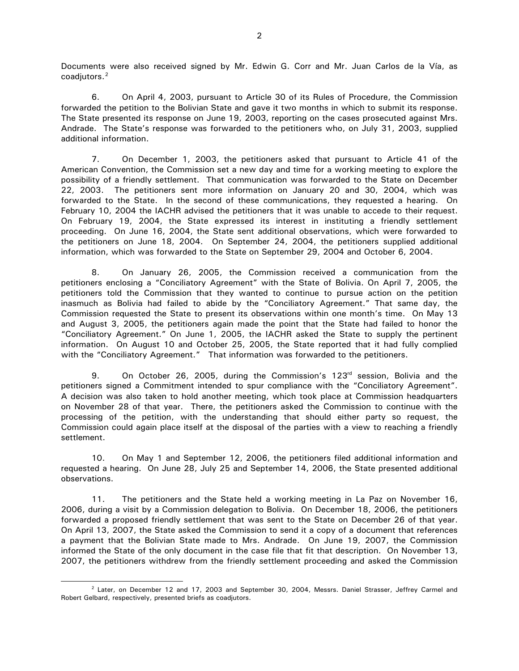Documents were also received signed by Mr. Edwin G. Corr and Mr. Juan Carlos de la Vía, as coadjutors.<sup>[2](#page-1-0)</sup>

6. On April 4, 2003, pursuant to Article 30 of its Rules of Procedure, the Commission forwarded the petition to the Bolivian State and gave it two months in which to submit its response. The State presented its response on June 19, 2003, reporting on the cases prosecuted against Mrs. Andrade. The State's response was forwarded to the petitioners who, on July 31, 2003, supplied additional information.

7. On December 1, 2003, the petitioners asked that pursuant to Article 41 of the American Convention, the Commission set a new day and time for a working meeting to explore the possibility of a friendly settlement. That communication was forwarded to the State on December 22, 2003. The petitioners sent more information on January 20 and 30, 2004, which was forwarded to the State. In the second of these communications, they requested a hearing. On February 10, 2004 the IACHR advised the petitioners that it was unable to accede to their request. On February 19, 2004, the State expressed its interest in instituting a friendly settlement proceeding. On June 16, 2004, the State sent additional observations, which were forwarded to the petitioners on June 18, 2004. On September 24, 2004, the petitioners supplied additional information, which was forwarded to the State on September 29, 2004 and October 6, 2004.

8. On January 26, 2005, the Commission received a communication from the petitioners enclosing a "Conciliatory Agreement" with the State of Bolivia. On April 7, 2005, the petitioners told the Commission that they wanted to continue to pursue action on the petition inasmuch as Bolivia had failed to abide by the "Conciliatory Agreement." That same day, the Commission requested the State to present its observations within one month's time. On May 13 and August 3, 2005, the petitioners again made the point that the State had failed to honor the "Conciliatory Agreement." On June 1, 2005, the IACHR asked the State to supply the pertinent information. On August 10 and October 25, 2005, the State reported that it had fully complied with the "Conciliatory Agreement." That information was forwarded to the petitioners.

9. On October 26, 2005, during the Commission's  $123<sup>rd</sup>$  session, Bolivia and the petitioners signed a Commitment intended to spur compliance with the "Conciliatory Agreement". A decision was also taken to hold another meeting, which took place at Commission headquarters on November 28 of that year. There, the petitioners asked the Commission to continue with the processing of the petition, with the understanding that should either party so request, the Commission could again place itself at the disposal of the parties with a view to reaching a friendly settlement.

10. On May 1 and September 12, 2006, the petitioners filed additional information and requested a hearing. On June 28, July 25 and September 14, 2006, the State presented additional observations.

11. The petitioners and the State held a working meeting in La Paz on November 16, 2006, during a visit by a Commission delegation to Bolivia. On December 18, 2006, the petitioners forwarded a proposed friendly settlement that was sent to the State on December 26 of that year. On April 13, 2007, the State asked the Commission to send it a copy of a document that references a payment that the Bolivian State made to Mrs. Andrade. On June 19, 2007, the Commission informed the State of the only document in the case file that fit that description. On November 13, 2007, the petitioners withdrew from the friendly settlement proceeding and asked the Commission

-

<span id="page-1-0"></span><sup>&</sup>lt;sup>2</sup> Later, on December 12 and 17, 2003 and September 30, 2004, Messrs. Daniel Strasser, Jeffrey Carmel and Robert Gelbard, respectively, presented briefs as coadjutors.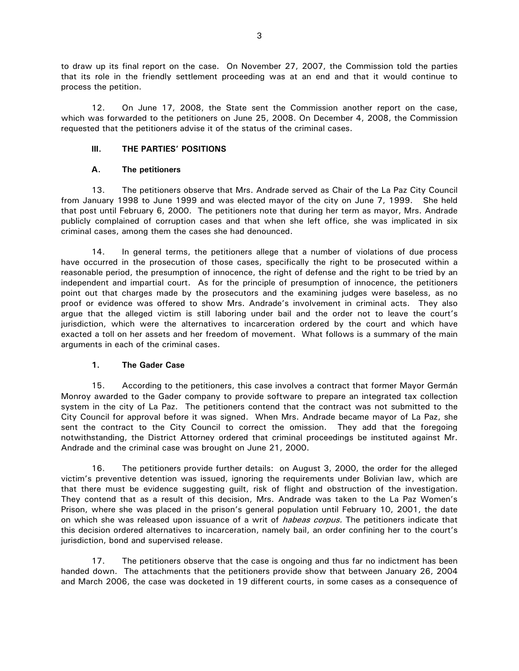to draw up its final report on the case. On November 27, 2007, the Commission told the parties that its role in the friendly settlement proceeding was at an end and that it would continue to process the petition.

12. On June 17, 2008, the State sent the Commission another report on the case, which was forwarded to the petitioners on June 25, 2008. On December 4, 2008, the Commission requested that the petitioners advise it of the status of the criminal cases.

## **III. THE PARTIES' POSITIONS**

#### **A. The petitioners**

13. The petitioners observe that Mrs. Andrade served as Chair of the La Paz City Council from January 1998 to June 1999 and was elected mayor of the city on June 7, 1999. She held that post until February 6, 2000. The petitioners note that during her term as mayor, Mrs. Andrade publicly complained of corruption cases and that when she left office, she was implicated in six criminal cases, among them the cases she had denounced.

14. In general terms, the petitioners allege that a number of violations of due process have occurred in the prosecution of those cases, specifically the right to be prosecuted within a reasonable period, the presumption of innocence, the right of defense and the right to be tried by an independent and impartial court. As for the principle of presumption of innocence, the petitioners point out that charges made by the prosecutors and the examining judges were baseless, as no proof or evidence was offered to show Mrs. Andrade's involvement in criminal acts. They also argue that the alleged victim is still laboring under bail and the order not to leave the court's jurisdiction, which were the alternatives to incarceration ordered by the court and which have exacted a toll on her assets and her freedom of movement. What follows is a summary of the main arguments in each of the criminal cases.

# **1. The Gader Case**

15. According to the petitioners, this case involves a contract that former Mayor Germán Monroy awarded to the Gader company to provide software to prepare an integrated tax collection system in the city of La Paz. The petitioners contend that the contract was not submitted to the City Council for approval before it was signed. When Mrs. Andrade became mayor of La Paz, she sent the contract to the City Council to correct the omission. They add that the foregoing notwithstanding, the District Attorney ordered that criminal proceedings be instituted against Mr. Andrade and the criminal case was brought on June 21, 2000.

16. The petitioners provide further details: on August 3, 2000, the order for the alleged victim's preventive detention was issued, ignoring the requirements under Bolivian law, which are that there must be evidence suggesting guilt, risk of flight and obstruction of the investigation. They contend that as a result of this decision, Mrs. Andrade was taken to the La Paz Women's Prison, where she was placed in the prison's general population until February 10, 2001, the date on which she was released upon issuance of a writ of *habeas corpus*. The petitioners indicate that this decision ordered alternatives to incarceration, namely bail, an order confining her to the court's jurisdiction, bond and supervised release.

17. The petitioners observe that the case is ongoing and thus far no indictment has been handed down. The attachments that the petitioners provide show that between January 26, 2004 and March 2006, the case was docketed in 19 different courts, in some cases as a consequence of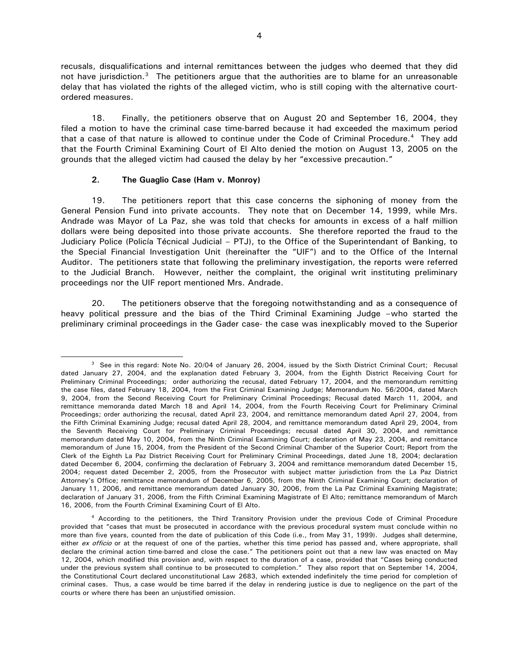recusals, disqualifications and internal remittances between the judges who deemed that they did not have jurisdiction. $3$  The petitioners argue that the authorities are to blame for an unreasonable delay that has violated the rights of the alleged victim, who is still coping with the alternative courtordered measures.

18. Finally, the petitioners observe that on August 20 and September 16, 2004, they filed a motion to have the criminal case time-barred because it had exceeded the maximum period that a case of that nature is allowed to continue under the Code of Criminal Procedure.<sup>[4](#page-3-1)</sup> They add that the Fourth Criminal Examining Court of El Alto denied the motion on August 13, 2005 on the grounds that the alleged victim had caused the delay by her "excessive precaution."

## **2. The Guaglio Case (Ham v. Monroy)**

 $\overline{a}$ 

19. The petitioners report that this case concerns the siphoning of money from the General Pension Fund into private accounts. They note that on December 14, 1999, while Mrs. Andrade was Mayor of La Paz, she was told that checks for amounts in excess of a half million dollars were being deposited into those private accounts. She therefore reported the fraud to the Judiciary Police (Policía Técnical Judicial – PTJ), to the Office of the Superintendant of Banking, to the Special Financial Investigation Unit (hereinafter the "UIF") and to the Office of the Internal Auditor. The petitioners state that following the preliminary investigation, the reports were referred to the Judicial Branch. However, neither the complaint, the original writ instituting preliminary proceedings nor the UIF report mentioned Mrs. Andrade.

20. The petitioners observe that the foregoing notwithstanding and as a consequence of heavy political pressure and the bias of the Third Criminal Examining Judge –who started the preliminary criminal proceedings in the Gader case- the case was inexplicably moved to the Superior

<span id="page-3-0"></span><sup>&</sup>lt;sup>3</sup> See in this regard: Note No. 20/04 of January 26, 2004, issued by the Sixth District Criminal Court; Recusal dated January 27, 2004, and the explanation dated February 3, 2004, from the Eighth District Receiving Court for Preliminary Criminal Proceedings; order authorizing the recusal, dated February 17, 2004, and the memorandum remitting the case files, dated February 18, 2004, from the First Criminal Examining Judge; Memorandum No. 56/2004, dated March 9, 2004, from the Second Receiving Court for Preliminary Criminal Proceedings; Recusal dated March 11, 2004, and remittance memoranda dated March 18 and April 14, 2004, from the Fourth Receiving Court for Preliminary Criminal Proceedings; order authorizing the recusal, dated April 23, 2004, and remittance memorandum dated April 27, 2004, from the Fifth Criminal Examining Judge; recusal dated April 28, 2004, and remittance memorandum dated April 29, 2004, from the Seventh Receiving Court for Preliminary Criminal Proceedings; recusal dated April 30, 2004, and remittance memorandum dated May 10, 2004, from the Ninth Criminal Examining Court; declaration of May 23, 2004, and remittance memorandum of June 15, 2004, from the President of the Second Criminal Chamber of the Superior Court; Report from the Clerk of the Eighth La Paz District Receiving Court for Preliminary Criminal Proceedings, dated June 18, 2004; declaration dated December 6, 2004, confirming the declaration of February 3, 2004 and remittance memorandum dated December 15, 2004; request dated December 2, 2005, from the Prosecutor with subject matter jurisdiction from the La Paz District Attorney's Office; remittance memorandum of December 6, 2005, from the Ninth Criminal Examining Court; declaration of January 11, 2006, and remittance memorandum dated January 30, 2006, from the La Paz Criminal Examining Magistrate; declaration of January 31, 2006, from the Fifth Criminal Examining Magistrate of El Alto; remittance memorandum of March 16, 2006, from the Fourth Criminal Examining Court of El Alto.

<span id="page-3-1"></span><sup>&</sup>lt;sup>4</sup> According to the petitioners, the Third Transitory Provision under the previous Code of Criminal Procedure provided that "cases that must be prosecuted in accordance with the previous procedural system must conclude within no more than five years, counted from the date of publication of this Code (i.e., from May 31, 1999). Judges shall determine, either ex officio or at the request of one of the parties, whether this time period has passed and, where appropriate, shall declare the criminal action time-barred and close the case." The petitioners point out that a new law was enacted on May 12, 2004, which modified this provision and, with respect to the duration of a case, provided that "Cases being conducted under the previous system shall continue to be prosecuted to completion." They also report that on September 14, 2004, the Constitutional Court declared unconstitutional Law 2683, which extended indefinitely the time period for completion of criminal cases. Thus, a case would be time barred if the delay in rendering justice is due to negligence on the part of the courts or where there has been an unjustified omission.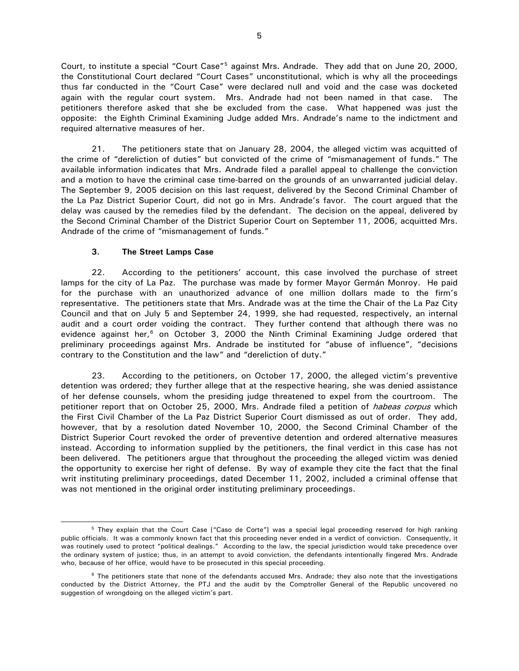Court, to institute a special "Court Case"<sup>[5](#page-4-0)</sup> against Mrs. Andrade. They add that on June 20, 2000, the Constitutional Court declared "Court Cases" unconstitutional, which is why all the proceedings thus far conducted in the "Court Case" were declared null and void and the case was docketed again with the regular court system. Mrs. Andrade had not been named in that case. The petitioners therefore asked that she be excluded from the case. What happened was just the opposite: the Eighth Criminal Examining Judge added Mrs. Andrade's name to the indictment and required alternative measures of her.

21. The petitioners state that on January 28, 2004, the alleged victim was acquitted of the crime of "dereliction of duties" but convicted of the crime of "mismanagement of funds." The available information indicates that Mrs. Andrade filed a parallel appeal to challenge the conviction and a motion to have the criminal case time-barred on the grounds of an unwarranted judicial delay. The September 9, 2005 decision on this last request, delivered by the Second Criminal Chamber of the La Paz District Superior Court, did not go in Mrs. Andrade's favor. The court argued that the delay was caused by the remedies filed by the defendant. The decision on the appeal, delivered by the Second Criminal Chamber of the District Superior Court on September 11, 2006, acquitted Mrs. Andrade of the crime of "mismanagement of funds."

## **3. The Street Lamps Case**

 $\overline{a}$ 

22. According to the petitioners' account, this case involved the purchase of street lamps for the city of La Paz. The purchase was made by former Mayor Germán Monroy. He paid for the purchase with an unauthorized advance of one million dollars made to the firm's representative. The petitioners state that Mrs. Andrade was at the time the Chair of the La Paz City Council and that on July 5 and September 24, 1999, she had requested, respectively, an internal audit and a court order voiding the contract. They further contend that although there was no evidence against her, $6$  on October 3, 2000 the Ninth Criminal Examining Judge ordered that preliminary proceedings against Mrs. Andrade be instituted for "abuse of influence", "decisions contrary to the Constitution and the law" and "dereliction of duty."

23. According to the petitioners, on October 17, 2000, the alleged victim's preventive detention was ordered; they further allege that at the respective hearing, she was denied assistance of her defense counsels, whom the presiding judge threatened to expel from the courtroom. The petitioner report that on October 25, 2000, Mrs. Andrade filed a petition of *habeas corpus* which the First Civil Chamber of the La Paz District Superior Court dismissed as out of order. They add, however, that by a resolution dated November 10, 2000, the Second Criminal Chamber of the District Superior Court revoked the order of preventive detention and ordered alternative measures instead. According to information supplied by the petitioners, the final verdict in this case has not been delivered. The petitioners argue that throughout the proceeding the alleged victim was denied the opportunity to exercise her right of defense. By way of example they cite the fact that the final writ instituting preliminary proceedings, dated December 11, 2002, included a criminal offense that was not mentioned in the original order instituting preliminary proceedings.

<span id="page-4-0"></span><sup>&</sup>lt;sup>5</sup> They explain that the Court Case ["Caso de Corte"] was a special legal proceeding reserved for high ranking public officials. It was a commonly known fact that this proceeding never ended in a verdict of conviction. Consequently, it was routinely used to protect "political dealings." According to the law, the special jurisdiction would take precedence over the ordinary system of justice; thus, in an attempt to avoid conviction, the defendants intentionally fingered Mrs. Andrade who, because of her office, would have to be prosecuted in this special proceeding.

<span id="page-4-1"></span> $6$  The petitioners state that none of the defendants accused Mrs. Andrade; they also note that the investigations conducted by the District Attorney, the PTJ and the audit by the Comptroller General of the Republic uncovered no suggestion of wrongdoing on the alleged victim's part.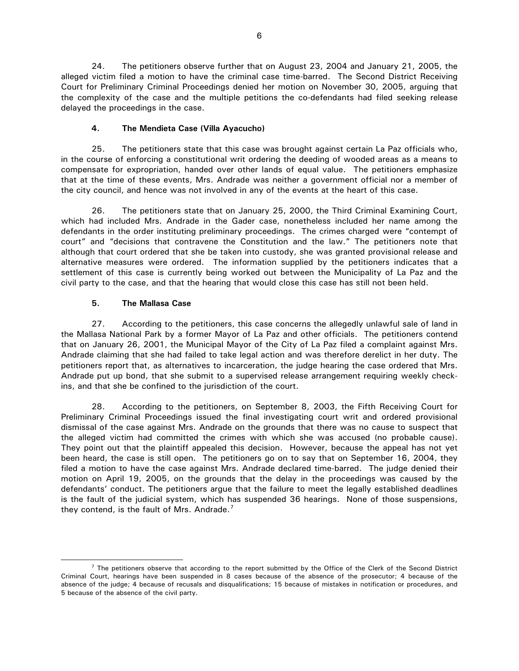24. The petitioners observe further that on August 23, 2004 and January 21, 2005, the alleged victim filed a motion to have the criminal case time-barred. The Second District Receiving Court for Preliminary Criminal Proceedings denied her motion on November 30, 2005, arguing that the complexity of the case and the multiple petitions the co-defendants had filed seeking release delayed the proceedings in the case.

## **4. The Mendieta Case (Villa Ayacucho)**

25. The petitioners state that this case was brought against certain La Paz officials who, in the course of enforcing a constitutional writ ordering the deeding of wooded areas as a means to compensate for expropriation, handed over other lands of equal value. The petitioners emphasize that at the time of these events, Mrs. Andrade was neither a government official nor a member of the city council, and hence was not involved in any of the events at the heart of this case.

26. The petitioners state that on January 25, 2000, the Third Criminal Examining Court, which had included Mrs. Andrade in the Gader case, nonetheless included her name among the defendants in the order instituting preliminary proceedings. The crimes charged were "contempt of court" and "decisions that contravene the Constitution and the law." The petitioners note that although that court ordered that she be taken into custody, she was granted provisional release and alternative measures were ordered. The information supplied by the petitioners indicates that a settlement of this case is currently being worked out between the Municipality of La Paz and the civil party to the case, and that the hearing that would close this case has still not been held.

## **5. The Mallasa Case**

 $\overline{a}$ 

27. According to the petitioners, this case concerns the allegedly unlawful sale of land in the Mallasa National Park by a former Mayor of La Paz and other officials. The petitioners contend that on January 26, 2001, the Municipal Mayor of the City of La Paz filed a complaint against Mrs. Andrade claiming that she had failed to take legal action and was therefore derelict in her duty. The petitioners report that, as alternatives to incarceration, the judge hearing the case ordered that Mrs. Andrade put up bond, that she submit to a supervised release arrangement requiring weekly checkins, and that she be confined to the jurisdiction of the court.

28. According to the petitioners, on September 8, 2003, the Fifth Receiving Court for Preliminary Criminal Proceedings issued the final investigating court writ and ordered provisional dismissal of the case against Mrs. Andrade on the grounds that there was no cause to suspect that the alleged victim had committed the crimes with which she was accused (no probable cause). They point out that the plaintiff appealed this decision. However, because the appeal has not yet been heard, the case is still open. The petitioners go on to say that on September 16, 2004, they filed a motion to have the case against Mrs. Andrade declared time-barred. The judge denied their motion on April 19, 2005, on the grounds that the delay in the proceedings was caused by the defendants' conduct. The petitioners argue that the failure to meet the legally established deadlines is the fault of the judicial system, which has suspended 36 hearings. None of those suspensions, they contend, is the fault of Mrs. Andrade.<sup>[7](#page-5-0)</sup>

<span id="page-5-0"></span> $<sup>7</sup>$  The petitioners observe that according to the report submitted by the Office of the Clerk of the Second District</sup> Criminal Court, hearings have been suspended in 8 cases because of the absence of the prosecutor; 4 because of the absence of the judge; 4 because of recusals and disqualifications; 15 because of mistakes in notification or procedures, and 5 because of the absence of the civil party.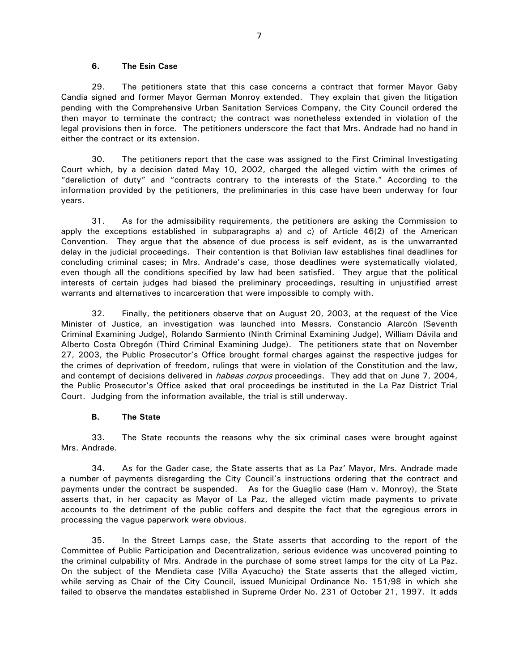#### **6. The Esin Case**

29. The petitioners state that this case concerns a contract that former Mayor Gaby Candia signed and former Mayor German Monroy extended. They explain that given the litigation pending with the Comprehensive Urban Sanitation Services Company, the City Council ordered the then mayor to terminate the contract; the contract was nonetheless extended in violation of the legal provisions then in force. The petitioners underscore the fact that Mrs. Andrade had no hand in either the contract or its extension.

30. The petitioners report that the case was assigned to the First Criminal Investigating Court which, by a decision dated May 10, 2002, charged the alleged victim with the crimes of "dereliction of duty" and "contracts contrary to the interests of the State." According to the information provided by the petitioners, the preliminaries in this case have been underway for four years.

31. As for the admissibility requirements, the petitioners are asking the Commission to apply the exceptions established in subparagraphs a) and c) of Article 46(2) of the American Convention. They argue that the absence of due process is self evident, as is the unwarranted delay in the judicial proceedings. Their contention is that Bolivian law establishes final deadlines for concluding criminal cases; in Mrs. Andrade's case, those deadlines were systematically violated, even though all the conditions specified by law had been satisfied. They argue that the political interests of certain judges had biased the preliminary proceedings, resulting in unjustified arrest warrants and alternatives to incarceration that were impossible to comply with.

32. Finally, the petitioners observe that on August 20, 2003, at the request of the Vice Minister of Justice, an investigation was launched into Messrs. Constancio Alarcón (Seventh Criminal Examining Judge), Rolando Sarmiento (Ninth Criminal Examining Judge), William Dávila and Alberto Costa Obregón (Third Criminal Examining Judge). The petitioners state that on November 27, 2003, the Public Prosecutor's Office brought formal charges against the respective judges for the crimes of deprivation of freedom, rulings that were in violation of the Constitution and the law, and contempt of decisions delivered in *habeas corpus* proceedings. They add that on June 7, 2004, the Public Prosecutor's Office asked that oral proceedings be instituted in the La Paz District Trial Court. Judging from the information available, the trial is still underway.

#### **B. The State**

33. The State recounts the reasons why the six criminal cases were brought against Mrs. Andrade.

34. As for the Gader case, the State asserts that as La Paz' Mayor, Mrs. Andrade made a number of payments disregarding the City Council's instructions ordering that the contract and payments under the contract be suspended. As for the Guaglio case (Ham v. Monroy), the State asserts that, in her capacity as Mayor of La Paz, the alleged victim made payments to private accounts to the detriment of the public coffers and despite the fact that the egregious errors in processing the vague paperwork were obvious.

35. In the Street Lamps case, the State asserts that according to the report of the Committee of Public Participation and Decentralization, serious evidence was uncovered pointing to the criminal culpability of Mrs. Andrade in the purchase of some street lamps for the city of La Paz. On the subject of the Mendieta case (Villa Ayacucho) the State asserts that the alleged victim, while serving as Chair of the City Council, issued Municipal Ordinance No. 151/98 in which she failed to observe the mandates established in Supreme Order No. 231 of October 21, 1997. It adds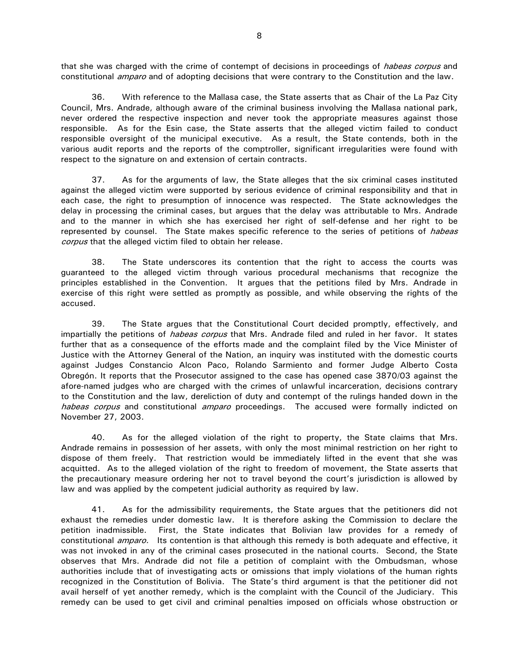that she was charged with the crime of contempt of decisions in proceedings of *habeas corpus* and constitutional *amparo* and of adopting decisions that were contrary to the Constitution and the law.

36. With reference to the Mallasa case, the State asserts that as Chair of the La Paz City Council, Mrs. Andrade, although aware of the criminal business involving the Mallasa national park, never ordered the respective inspection and never took the appropriate measures against those responsible. As for the Esin case, the State asserts that the alleged victim failed to conduct responsible oversight of the municipal executive. As a result, the State contends, both in the various audit reports and the reports of the comptroller, significant irregularities were found with respect to the signature on and extension of certain contracts.

37. As for the arguments of law, the State alleges that the six criminal cases instituted against the alleged victim were supported by serious evidence of criminal responsibility and that in each case, the right to presumption of innocence was respected. The State acknowledges the delay in processing the criminal cases, but argues that the delay was attributable to Mrs. Andrade and to the manner in which she has exercised her right of self-defense and her right to be represented by counsel. The State makes specific reference to the series of petitions of *habeas* corpus that the alleged victim filed to obtain her release.

38. The State underscores its contention that the right to access the courts was guaranteed to the alleged victim through various procedural mechanisms that recognize the principles established in the Convention. It argues that the petitions filed by Mrs. Andrade in exercise of this right were settled as promptly as possible, and while observing the rights of the accused.

39. The State argues that the Constitutional Court decided promptly, effectively, and impartially the petitions of *habeas corpus* that Mrs. Andrade filed and ruled in her favor. It states further that as a consequence of the efforts made and the complaint filed by the Vice Minister of Justice with the Attorney General of the Nation, an inquiry was instituted with the domestic courts against Judges Constancio Alcon Paco, Rolando Sarmiento and former Judge Alberto Costa Obregón. It reports that the Prosecutor assigned to the case has opened case 3870/03 against the afore-named judges who are charged with the crimes of unlawful incarceration, decisions contrary to the Constitution and the law, dereliction of duty and contempt of the rulings handed down in the habeas corpus and constitutional amparo proceedings. The accused were formally indicted on November 27, 2003.

40. As for the alleged violation of the right to property, the State claims that Mrs. Andrade remains in possession of her assets, with only the most minimal restriction on her right to dispose of them freely. That restriction would be immediately lifted in the event that she was acquitted. As to the alleged violation of the right to freedom of movement, the State asserts that the precautionary measure ordering her not to travel beyond the court's jurisdiction is allowed by law and was applied by the competent judicial authority as required by law.

41. As for the admissibility requirements, the State argues that the petitioners did not exhaust the remedies under domestic law. It is therefore asking the Commission to declare the petition inadmissible. First, the State indicates that Bolivian law provides for a remedy of constitutional *amparo.* Its contention is that although this remedy is both adequate and effective, it was not invoked in any of the criminal cases prosecuted in the national courts. Second, the State observes that Mrs. Andrade did not file a petition of complaint with the Ombudsman, whose authorities include that of investigating acts or omissions that imply violations of the human rights recognized in the Constitution of Bolivia. The State's third argument is that the petitioner did not avail herself of yet another remedy, which is the complaint with the Council of the Judiciary. This remedy can be used to get civil and criminal penalties imposed on officials whose obstruction or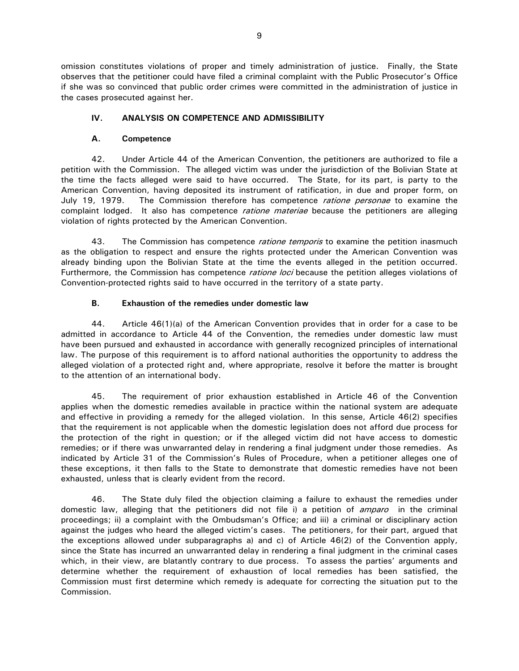omission constitutes violations of proper and timely administration of justice. Finally, the State observes that the petitioner could have filed a criminal complaint with the Public Prosecutor's Office if she was so convinced that public order crimes were committed in the administration of justice in the cases prosecuted against her.

## **IV. ANALYSIS ON COMPETENCE AND ADMISSIBILITY**

## **A. Competence**

42. Under Article 44 of the American Convention, the petitioners are authorized to file a petition with the Commission. The alleged victim was under the jurisdiction of the Bolivian State at the time the facts alleged were said to have occurred. The State, for its part, is party to the American Convention, having deposited its instrument of ratification, in due and proper form, on July 19, 1979. The Commission therefore has competence *ratione personae* to examine the complaint lodged. It also has competence *ratione materiae* because the petitioners are alleging violation of rights protected by the American Convention.

43. The Commission has competence *ratione temporis* to examine the petition inasmuch as the obligation to respect and ensure the rights protected under the American Convention was already binding upon the Bolivian State at the time the events alleged in the petition occurred. Furthermore, the Commission has competence *ratione loci* because the petition alleges violations of Convention-protected rights said to have occurred in the territory of a state party.

# **B. Exhaustion of the remedies under domestic law**

44. Article 46(1)(a) of the American Convention provides that in order for a case to be admitted in accordance to Article 44 of the Convention, the remedies under domestic law must have been pursued and exhausted in accordance with generally recognized principles of international law. The purpose of this requirement is to afford national authorities the opportunity to address the alleged violation of a protected right and, where appropriate, resolve it before the matter is brought to the attention of an international body.

45. The requirement of prior exhaustion established in Article 46 of the Convention applies when the domestic remedies available in practice within the national system are adequate and effective in providing a remedy for the alleged violation. In this sense, Article 46(2) specifies that the requirement is not applicable when the domestic legislation does not afford due process for the protection of the right in question; or if the alleged victim did not have access to domestic remedies; or if there was unwarranted delay in rendering a final judgment under those remedies. As indicated by Article 31 of the Commission's Rules of Procedure, when a petitioner alleges one of these exceptions, it then falls to the State to demonstrate that domestic remedies have not been exhausted, unless that is clearly evident from the record.

46. The State duly filed the objection claiming a failure to exhaust the remedies under domestic law, alleging that the petitioners did not file i) a petition of *amparo* in the criminal proceedings; ii) a complaint with the Ombudsman's Office; and iii) a criminal or disciplinary action against the judges who heard the alleged victim's cases. The petitioners, for their part, argued that the exceptions allowed under subparagraphs a) and c) of Article 46(2) of the Convention apply, since the State has incurred an unwarranted delay in rendering a final judgment in the criminal cases which, in their view, are blatantly contrary to due process. To assess the parties' arguments and determine whether the requirement of exhaustion of local remedies has been satisfied, the Commission must first determine which remedy is adequate for correcting the situation put to the Commission.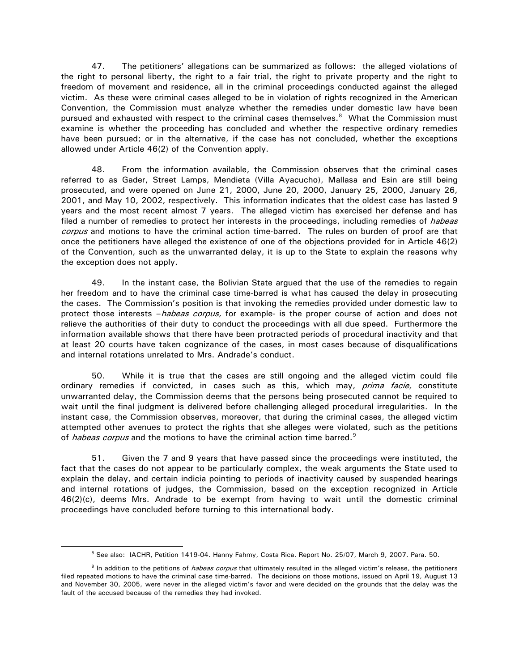47. The petitioners' allegations can be summarized as follows: the alleged violations of the right to personal liberty, the right to a fair trial, the right to private property and the right to freedom of movement and residence, all in the criminal proceedings conducted against the alleged victim. As these were criminal cases alleged to be in violation of rights recognized in the American Convention, the Commission must analyze whether the remedies under domestic law have been pursued and exhausted with respect to the criminal cases themselves.<sup>[8](#page-9-0)</sup> What the Commission must examine is whether the proceeding has concluded and whether the respective ordinary remedies have been pursued; or in the alternative, if the case has not concluded, whether the exceptions allowed under Article 46(2) of the Convention apply.

48. From the information available, the Commission observes that the criminal cases referred to as Gader, Street Lamps, Mendieta (Villa Ayacucho), Mallasa and Esin are still being prosecuted, and were opened on June 21, 2000, June 20, 2000, January 25, 2000, January 26, 2001, and May 10, 2002, respectively. This information indicates that the oldest case has lasted 9 years and the most recent almost 7 years. The alleged victim has exercised her defense and has filed a number of remedies to protect her interests in the proceedings, including remedies of *habeas* corpus and motions to have the criminal action time-barred. The rules on burden of proof are that once the petitioners have alleged the existence of one of the objections provided for in Article 46(2) of the Convention, such as the unwarranted delay, it is up to the State to explain the reasons why the exception does not apply.

49. In the instant case, the Bolivian State argued that the use of the remedies to regain her freedom and to have the criminal case time-barred is what has caused the delay in prosecuting the cases. The Commission's position is that invoking the remedies provided under domestic law to protect those interests *-habeas corpus,* for example- is the proper course of action and does not relieve the authorities of their duty to conduct the proceedings with all due speed. Furthermore the information available shows that there have been protracted periods of procedural inactivity and that at least 20 courts have taken cognizance of the cases, in most cases because of disqualifications and internal rotations unrelated to Mrs. Andrade's conduct.

50. While it is true that the cases are still ongoing and the alleged victim could file ordinary remedies if convicted, in cases such as this, which may, prima facie, constitute unwarranted delay, the Commission deems that the persons being prosecuted cannot be required to wait until the final judgment is delivered before challenging alleged procedural irregularities. In the instant case, the Commission observes, moreover, that during the criminal cases, the alleged victim attempted other avenues to protect the rights that she alleges were violated, such as the petitions of habeas corpus and the motions to have the criminal action time barred.<sup>[9](#page-9-1)</sup>

51. Given the 7 and 9 years that have passed since the proceedings were instituted, the fact that the cases do not appear to be particularly complex, the weak arguments the State used to explain the delay, and certain indicia pointing to periods of inactivity caused by suspended hearings and internal rotations of judges, the Commission, based on the exception recognized in Article 46(2)(c), deems Mrs. Andrade to be exempt from having to wait until the domestic criminal proceedings have concluded before turning to this international body.

 $\overline{a}$ 

<sup>8</sup> See also: IACHR, Petition 1419-04. Hanny Fahmy, Costa Rica. Report No. 25/07, March 9, 2007. Para. 50.

<span id="page-9-1"></span><span id="page-9-0"></span><sup>&</sup>lt;sup>9</sup> In addition to the petitions of *habeas corpus* that ultimately resulted in the alleged victim's release, the petitioners filed repeated motions to have the criminal case time-barred. The decisions on those motions, issued on April 19, August 13 and November 30, 2005, were never in the alleged victim's favor and were decided on the grounds that the delay was the fault of the accused because of the remedies they had invoked.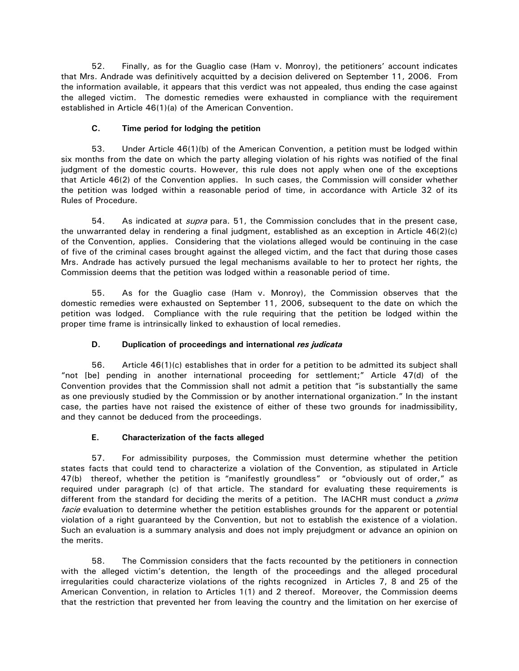52. Finally, as for the Guaglio case (Ham v. Monroy), the petitioners' account indicates that Mrs. Andrade was definitively acquitted by a decision delivered on September 11, 2006. From the information available, it appears that this verdict was not appealed, thus ending the case against the alleged victim. The domestic remedies were exhausted in compliance with the requirement established in Article 46(1)(a) of the American Convention.

# **C. Time period for lodging the petition**

53. Under Article 46(1)(b) of the American Convention, a petition must be lodged within six months from the date on which the party alleging violation of his rights was notified of the final judgment of the domestic courts. However, this rule does not apply when one of the exceptions that Article 46(2) of the Convention applies. In such cases, the Commission will consider whether the petition was lodged within a reasonable period of time, in accordance with Article 32 of its Rules of Procedure.

54. As indicated at *supra* para. 51, the Commission concludes that in the present case, the unwarranted delay in rendering a final judgment, established as an exception in Article 46(2)(c) of the Convention, applies. Considering that the violations alleged would be continuing in the case of five of the criminal cases brought against the alleged victim, and the fact that during those cases Mrs. Andrade has actively pursued the legal mechanisms available to her to protect her rights, the Commission deems that the petition was lodged within a reasonable period of time.

55. As for the Guaglio case (Ham v. Monroy), the Commission observes that the domestic remedies were exhausted on September 11, 2006, subsequent to the date on which the petition was lodged. Compliance with the rule requiring that the petition be lodged within the proper time frame is intrinsically linked to exhaustion of local remedies.

# **D. Duplication of proceedings and international** *res judicata*

56. Article 46(1)(c) establishes that in order for a petition to be admitted its subject shall "not [be] pending in another international proceeding for settlement;" Article 47(d) of the Convention provides that the Commission shall not admit a petition that "is substantially the same as one previously studied by the Commission or by another international organization." In the instant case, the parties have not raised the existence of either of these two grounds for inadmissibility, and they cannot be deduced from the proceedings.

# **E. Characterization of the facts alleged**

57. For admissibility purposes, the Commission must determine whether the petition states facts that could tend to characterize a violation of the Convention, as stipulated in Article 47(b) thereof, whether the petition is "manifestly groundless" or "obviously out of order," as required under paragraph (c) of that article. The standard for evaluating these requirements is different from the standard for deciding the merits of a petition. The IACHR must conduct a *prima* facie evaluation to determine whether the petition establishes grounds for the apparent or potential violation of a right guaranteed by the Convention, but not to establish the existence of a violation. Such an evaluation is a summary analysis and does not imply prejudgment or advance an opinion on the merits.

58. The Commission considers that the facts recounted by the petitioners in connection with the alleged victim's detention, the length of the proceedings and the alleged procedural irregularities could characterize violations of the rights recognized in Articles 7, 8 and 25 of the American Convention, in relation to Articles 1(1) and 2 thereof. Moreover, the Commission deems that the restriction that prevented her from leaving the country and the limitation on her exercise of